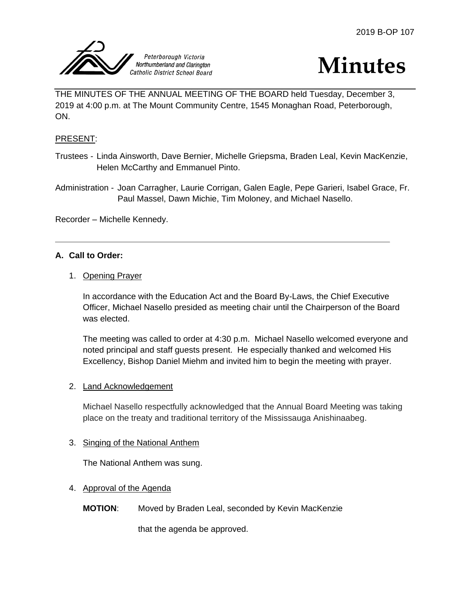



THE MINUTES OF THE ANNUAL MEETING OF THE BOARD held Tuesday, December 3, 2019 at 4:00 p.m. at The Mount Community Centre, 1545 Monaghan Road, Peterborough, ON.

# PRESENT:

Trustees - Linda Ainsworth, Dave Bernier, Michelle Griepsma, Braden Leal, Kevin MacKenzie, Helen McCarthy and Emmanuel Pinto.

Administration - Joan Carragher, Laurie Corrigan, Galen Eagle, Pepe Garieri, Isabel Grace, Fr. Paul Massel, Dawn Michie, Tim Moloney, and Michael Nasello.

Recorder – Michelle Kennedy.

# **A. Call to Order:**

## 1. Opening Prayer

In accordance with the Education Act and the Board By-Laws, the Chief Executive Officer, Michael Nasello presided as meeting chair until the Chairperson of the Board was elected.

The meeting was called to order at 4:30 p.m. Michael Nasello welcomed everyone and noted principal and staff guests present. He especially thanked and welcomed His Excellency, Bishop Daniel Miehm and invited him to begin the meeting with prayer.

# 2. Land Acknowledgement

Michael Nasello respectfully acknowledged that the Annual Board Meeting was taking place on the treaty and traditional territory of the Mississauga Anishinaabeg.

# 3. Singing of the National Anthem

The National Anthem was sung.

# 4. Approval of the Agenda

**MOTION**: Moved by Braden Leal, seconded by Kevin MacKenzie

that the agenda be approved.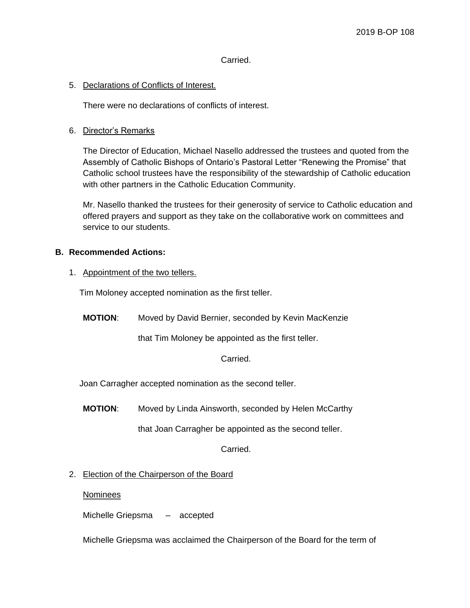## Carried.

## 5. Declarations of Conflicts of Interest.

There were no declarations of conflicts of interest.

## 6. Director's Remarks

The Director of Education, Michael Nasello addressed the trustees and quoted from the Assembly of Catholic Bishops of Ontario's Pastoral Letter "Renewing the Promise" that Catholic school trustees have the responsibility of the stewardship of Catholic education with other partners in the Catholic Education Community.

Mr. Nasello thanked the trustees for their generosity of service to Catholic education and offered prayers and support as they take on the collaborative work on committees and service to our students.

#### **B. Recommended Actions:**

1. Appointment of the two tellers.

Tim Moloney accepted nomination as the first teller.

**MOTION**: Moved by David Bernier, seconded by Kevin MacKenzie

that Tim Moloney be appointed as the first teller.

#### Carried.

Joan Carragher accepted nomination as the second teller.

**MOTION**: Moved by Linda Ainsworth, seconded by Helen McCarthy

that Joan Carragher be appointed as the second teller.

Carried.

2. Election of the Chairperson of the Board

**Nominees** 

Michelle Griepsma – accepted

Michelle Griepsma was acclaimed the Chairperson of the Board for the term of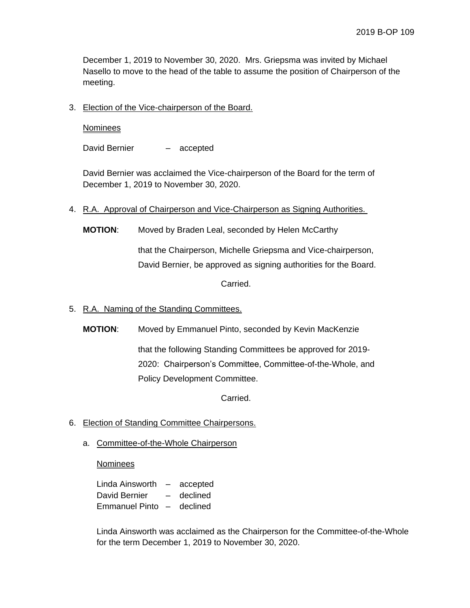December 1, 2019 to November 30, 2020. Mrs. Griepsma was invited by Michael Nasello to move to the head of the table to assume the position of Chairperson of the meeting.

3. Election of the Vice-chairperson of the Board.

**Nominees** 

David Bernier – accepted

David Bernier was acclaimed the Vice-chairperson of the Board for the term of December 1, 2019 to November 30, 2020.

- 4. R.A. Approval of Chairperson and Vice-Chairperson as Signing Authorities.
	- **MOTION**: Moved by Braden Leal, seconded by Helen McCarthy

that the Chairperson, Michelle Griepsma and Vice-chairperson, David Bernier, be approved as signing authorities for the Board.

Carried.

- 5. R.A. Naming of the Standing Committees.
	- **MOTION**: Moved by Emmanuel Pinto, seconded by Kevin MacKenzie

that the following Standing Committees be approved for 2019- 2020: Chairperson's Committee, Committee-of-the-Whole, and Policy Development Committee.

Carried.

- 6. Election of Standing Committee Chairpersons.
	- a. Committee-of-the-Whole Chairperson

Nominees

Linda Ainsworth – accepted David Bernier – declined Emmanuel Pinto – declined

Linda Ainsworth was acclaimed as the Chairperson for the Committee-of-the-Whole for the term December 1, 2019 to November 30, 2020.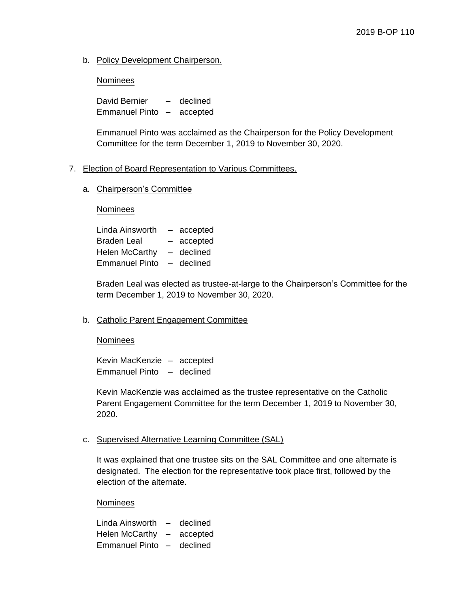b. Policy Development Chairperson.

# **Nominees**

David Bernier – declined Emmanuel Pinto – accepted

Emmanuel Pinto was acclaimed as the Chairperson for the Policy Development Committee for the term December 1, 2019 to November 30, 2020.

# 7. Election of Board Representation to Various Committees.

## a. Chairperson's Committee

**Nominees** 

| Linda Ainsworth       | $-$ | accepted   |
|-----------------------|-----|------------|
| <b>Braden Leal</b>    |     | - accepted |
| <b>Helen McCarthy</b> |     | - declined |
| <b>Emmanuel Pinto</b> | $-$ | declined   |

Braden Leal was elected as trustee-at-large to the Chairperson's Committee for the term December 1, 2019 to November 30, 2020.

# b. Catholic Parent Engagement Committee

#### **Nominees**

Kevin MacKenzie – accepted Emmanuel Pinto – declined

Kevin MacKenzie was acclaimed as the trustee representative on the Catholic Parent Engagement Committee for the term December 1, 2019 to November 30, 2020.

c. Supervised Alternative Learning Committee (SAL)

It was explained that one trustee sits on the SAL Committee and one alternate is designated. The election for the representative took place first, followed by the election of the alternate.

**Nominees** 

Linda Ainsworth – declined Helen McCarthy – accepted Emmanuel Pinto – declined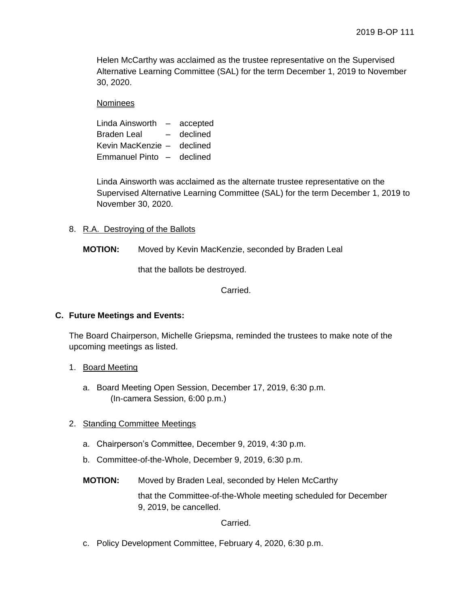Helen McCarthy was acclaimed as the trustee representative on the Supervised Alternative Learning Committee (SAL) for the term December 1, 2019 to November 30, 2020.

#### **Nominees**

Linda Ainsworth – accepted Braden Leal – declined Kevin MacKenzie – declined Emmanuel Pinto – declined

Linda Ainsworth was acclaimed as the alternate trustee representative on the Supervised Alternative Learning Committee (SAL) for the term December 1, 2019 to November 30, 2020.

## 8. R.A. Destroying of the Ballots

**MOTION:** Moved by Kevin MacKenzie, seconded by Braden Leal

that the ballots be destroyed.

Carried.

# **C. Future Meetings and Events:**

The Board Chairperson, Michelle Griepsma, reminded the trustees to make note of the upcoming meetings as listed.

# 1. Board Meeting

a. Board Meeting Open Session, December 17, 2019, 6:30 p.m. (In-camera Session, 6:00 p.m.)

# 2. Standing Committee Meetings

- a. Chairperson's Committee, December 9, 2019, 4:30 p.m.
- b. Committee-of-the-Whole, December 9, 2019, 6:30 p.m.
- **MOTION:** Moved by Braden Leal, seconded by Helen McCarthy

that the Committee-of-the-Whole meeting scheduled for December 9, 2019, be cancelled.

Carried.

c. Policy Development Committee, February 4, 2020, 6:30 p.m.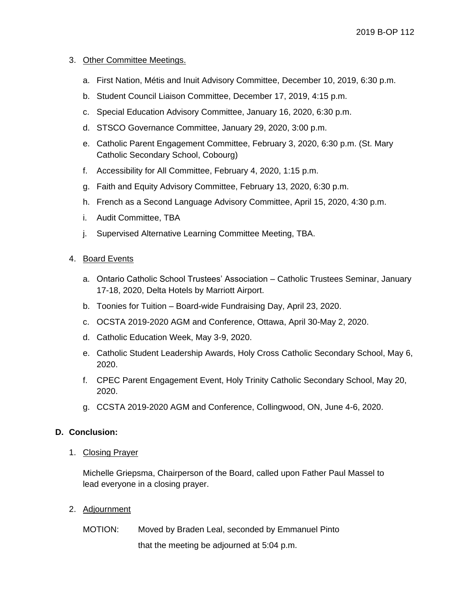## 3. Other Committee Meetings.

- a. First Nation, Métis and Inuit Advisory Committee, December 10, 2019, 6:30 p.m.
- b. Student Council Liaison Committee, December 17, 2019, 4:15 p.m.
- c. Special Education Advisory Committee, January 16, 2020, 6:30 p.m.
- d. STSCO Governance Committee, January 29, 2020, 3:00 p.m.
- e. Catholic Parent Engagement Committee, February 3, 2020, 6:30 p.m. (St. Mary Catholic Secondary School, Cobourg)
- f. Accessibility for All Committee, February 4, 2020, 1:15 p.m.
- g. Faith and Equity Advisory Committee, February 13, 2020, 6:30 p.m.
- h. French as a Second Language Advisory Committee, April 15, 2020, 4:30 p.m.
- i. Audit Committee, TBA
- j. Supervised Alternative Learning Committee Meeting, TBA.

## 4. Board Events

- a. Ontario Catholic School Trustees' Association Catholic Trustees Seminar, January 17-18, 2020, Delta Hotels by Marriott Airport.
- b. Toonies for Tuition Board-wide Fundraising Day, April 23, 2020.
- c. OCSTA 2019-2020 AGM and Conference, Ottawa, April 30-May 2, 2020.
- d. Catholic Education Week, May 3-9, 2020.
- e. Catholic Student Leadership Awards, Holy Cross Catholic Secondary School, May 6, 2020.
- f. CPEC Parent Engagement Event, Holy Trinity Catholic Secondary School, May 20, 2020.
- g. CCSTA 2019-2020 AGM and Conference, Collingwood, ON, June 4-6, 2020.

#### **D. Conclusion:**

1. Closing Prayer

Michelle Griepsma, Chairperson of the Board, called upon Father Paul Massel to lead everyone in a closing prayer.

- 2. Adjournment
	- MOTION: Moved by Braden Leal, seconded by Emmanuel Pinto

that the meeting be adjourned at 5:04 p.m.